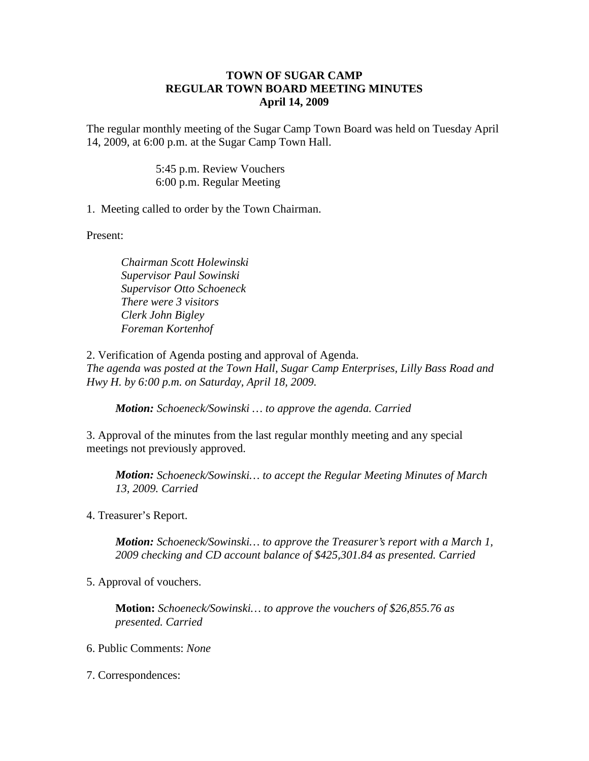## **TOWN OF SUGAR CAMP REGULAR TOWN BOARD MEETING MINUTES April 14, 2009**

The regular monthly meeting of the Sugar Camp Town Board was held on Tuesday April 14, 2009, at 6:00 p.m. at the Sugar Camp Town Hall.

> 5:45 p.m. Review Vouchers 6:00 p.m. Regular Meeting

1. Meeting called to order by the Town Chairman.

Present:

*Chairman Scott Holewinski Supervisor Paul Sowinski Supervisor Otto Schoeneck There were 3 visitors Clerk John Bigley Foreman Kortenhof*

2. Verification of Agenda posting and approval of Agenda. *The agenda was posted at the Town Hall, Sugar Camp Enterprises, Lilly Bass Road and Hwy H. by 6:00 p.m. on Saturday, April 18, 2009.*

*Motion: Schoeneck/Sowinski … to approve the agenda. Carried*

3. Approval of the minutes from the last regular monthly meeting and any special meetings not previously approved.

*Motion: Schoeneck/Sowinski… to accept the Regular Meeting Minutes of March 13, 2009. Carried*

4. Treasurer's Report.

*Motion: Schoeneck/Sowinski… to approve the Treasurer's report with a March 1, 2009 checking and CD account balance of \$425,301.84 as presented. Carried*

5. Approval of vouchers.

**Motion:** *Schoeneck/Sowinski… to approve the vouchers of \$26,855.76 as presented. Carried*

6. Public Comments: *None*

7. Correspondences: